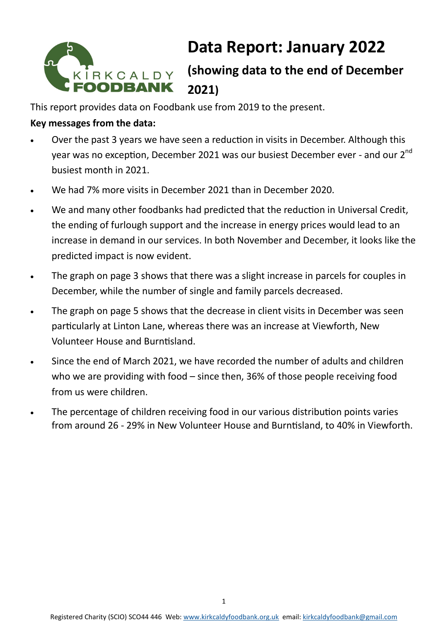

# **Data Report: January 2022**

# **(showing data to the end of December 2021)**

This report provides data on Foodbank use from 2019 to the present.

## **Key messages from the data:**

- Over the past 3 years we have seen a reduction in visits in December. Although this year was no exception, December 2021 was our busiest December ever - and our 2<sup>nd</sup> busiest month in 2021.
- We had 7% more visits in December 2021 than in December 2020.
- We and many other foodbanks had predicted that the reduction in Universal Credit, the ending of furlough support and the increase in energy prices would lead to an increase in demand in our services. In both November and December, it looks like the predicted impact is now evident.
- The graph on page 3 shows that there was a slight increase in parcels for couples in December, while the number of single and family parcels decreased.
- The graph on page 5 shows that the decrease in client visits in December was seen particularly at Linton Lane, whereas there was an increase at Viewforth, New Volunteer House and Burntisland.
- Since the end of March 2021, we have recorded the number of adults and children who we are providing with food – since then, 36% of those people receiving food from us were children.
- The percentage of children receiving food in our various distribution points varies from around 26 - 29% in New Volunteer House and Burntisland, to 40% in Viewforth.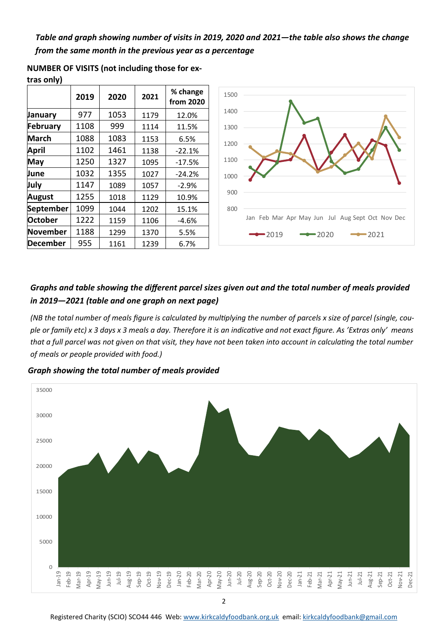*Table and graph showing number of visits in 2019, 2020 and 2021—the table also shows the change from the same month in the previous year as a percentage* 

|                | 2019 | 2020 | 2021 | % change<br>from 2020 |
|----------------|------|------|------|-----------------------|
| January        | 977  | 1053 | 1179 | 12.0%                 |
| February       | 1108 | 999  | 1114 | 11.5%                 |
| <b>March</b>   | 1088 | 1083 | 1153 | 6.5%                  |
| April          | 1102 | 1461 | 1138 | $-22.1%$              |
| May            | 1250 | 1327 | 1095 | $-17.5%$              |
| June           | 1032 | 1355 | 1027 | $-24.2%$              |
| July           | 1147 | 1089 | 1057 | $-2.9%$               |
| August         | 1255 | 1018 | 1129 | 10.9%                 |
| September      | 1099 | 1044 | 1202 | 15.1%                 |
| <b>October</b> | 1222 | 1159 | 1106 | $-4.6%$               |
| November       | 1188 | 1299 | 1370 | 5.5%                  |
| December       | 955  | 1161 | 1239 | 6.7%                  |

800 900 1000 1100 1200 1300 1400 1500 Jan Feb Mar Apr May Jun Jul Aug Sept Oct Nov Dec  $-2019$   $-2020$   $-2021$ 

**NUMBER OF VISITS (not including those for ex-**

**tras only)**

#### *Graphs and table showing the different parcel sizes given out and the total number of meals provided in 2019—2021 (table and one graph on next page)*

*(NB the total number of meals figure is calculated by multiplying the number of parcels x size of parcel (single, couple or family etc) x 3 days x 3 meals a day. Therefore it is an indicative and not exact figure. As 'Extras only' means that a full parcel was not given on that visit, they have not been taken into account in calculating the total number of meals or people provided with food.)* 

*Graph showing the total number of meals provided* 



2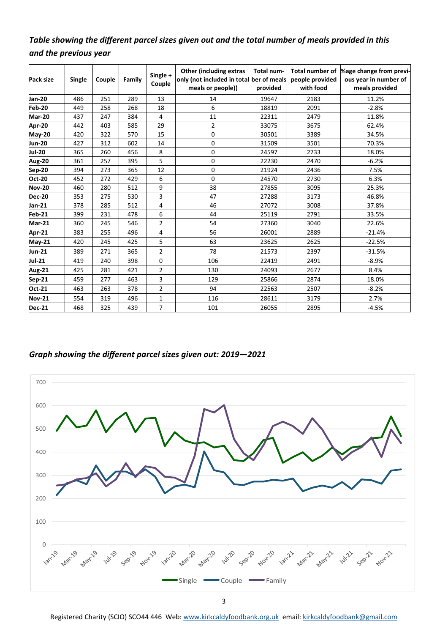### *Table showing the different parcel sizes given out and the total number of meals provided in this and the previous year*

| Pack size     | <b>Single</b> | Couple | Family | Single +<br>Couple | <b>Other (including extras</b><br>only (not included in total ber of meals<br>meals or people)) | Total num-<br>provided | <b>Total number of</b><br>people provided<br>with food | %age change from previ-<br>ous year in number of<br>meals provided |  |  |
|---------------|---------------|--------|--------|--------------------|-------------------------------------------------------------------------------------------------|------------------------|--------------------------------------------------------|--------------------------------------------------------------------|--|--|
| <b>Jan-20</b> | 486           | 251    | 289    | 13                 | 14                                                                                              | 19647                  | 2183                                                   | 11.2%                                                              |  |  |
| Feb-20        | 449           | 258    | 268    | 18                 | 6                                                                                               | 18819                  | 2091                                                   | $-2.8%$                                                            |  |  |
| <b>Mar-20</b> | 437           | 247    | 384    | 4                  | 11                                                                                              | 22311                  | 2479                                                   | 11.8%                                                              |  |  |
| Apr-20        | 442           | 403    | 585    | 29                 | $\overline{2}$                                                                                  | 33075                  | 3675                                                   | 62.4%                                                              |  |  |
| <b>May-20</b> | 420           | 322    | 570    | 15                 | 0                                                                                               | 30501                  | 3389                                                   | 34.5%                                                              |  |  |
| <b>Jun-20</b> | 427           | 312    | 602    | 14                 | 0                                                                                               | 31509                  | 3501                                                   | 70.3%                                                              |  |  |
| <b>Jul-20</b> | 365           | 260    | 456    | 8                  | 0                                                                                               | 24597                  | 2733                                                   | 18.0%                                                              |  |  |
| <b>Aug-20</b> | 361           | 257    | 395    | 5                  | 0                                                                                               | 22230                  | 2470                                                   | $-6.2%$                                                            |  |  |
| Sep-20        | 394           | 273    | 365    | 12                 | 0                                                                                               | 21924<br>2436          |                                                        | 7.5%                                                               |  |  |
| <b>Oct-20</b> | 452           | 272    | 429    | 6                  | 0                                                                                               | 24570                  | 2730                                                   | 6.3%                                                               |  |  |
| <b>Nov-20</b> | 460           | 280    | 512    | 9                  | 38                                                                                              | 27855                  | 3095                                                   | 25.3%                                                              |  |  |
| <b>Dec-20</b> | 353           | 275    | 530    | 3                  | 47                                                                                              | 27288                  | 3173                                                   | 46.8%                                                              |  |  |
| Jan-21        | 378           | 285    | 512    | 4                  | 46                                                                                              | 27072<br>3008          |                                                        | 37.8%                                                              |  |  |
| Feb-21        | 399           | 231    | 478    | 6                  | 44                                                                                              | 25119                  | 2791                                                   | 33.5%                                                              |  |  |
| Mar-21        | 360           | 245    | 546    | $\overline{2}$     | 54                                                                                              | 27360                  | 3040                                                   | 22.6%                                                              |  |  |
| Apr-21        | 383           | 255    | 496    | 4                  | 56                                                                                              | 26001                  | 2889                                                   | $-21.4%$                                                           |  |  |
| <b>May-21</b> | 420           | 245    | 425    | 5                  | 63                                                                                              | 23625                  | 2625                                                   | $-22.5%$                                                           |  |  |
| Jun-21        | 389           | 271    | 365    | $\overline{2}$     | 78                                                                                              | 21573                  | 2397                                                   | $-31.5%$                                                           |  |  |
| Jul-21        | 419           | 240    | 398    | 0                  | 106                                                                                             | 22419                  | 2491                                                   | $-8.9%$                                                            |  |  |
| <b>Aug-21</b> | 425           | 281    | 421    | 2                  | 130                                                                                             | 24093                  | 2677                                                   | 8.4%                                                               |  |  |
| Sep-21        | 459           | 277    | 463    | 3                  | 129                                                                                             | 25866                  | 2874                                                   | 18.0%                                                              |  |  |
| <b>Oct-21</b> | 463           | 263    | 378    | $\overline{2}$     | 94                                                                                              | 22563                  | 2507                                                   | $-8.2%$                                                            |  |  |
| <b>Nov-21</b> | 554           | 319    | 496    | $\mathbf 1$        | 116                                                                                             | 28611                  | 3179                                                   | 2.7%                                                               |  |  |
| <b>Dec-21</b> | 468           | 325    | 439    | 7                  | 101                                                                                             | 26055                  | 2895                                                   | $-4.5%$                                                            |  |  |

#### *Graph showing the different parcel sizes given out: 2019—2021*



3

Registered Charity (SCIO) SCO44 446 Web: [www.kirkcaldyfoodbank.org.uk](http://www.kirkcaldyfoodbank.org.uk) email: [kirkcaldyfoodbank@gmail.com](mailto:mailtokirkcaldyfoodbank@gmail.com)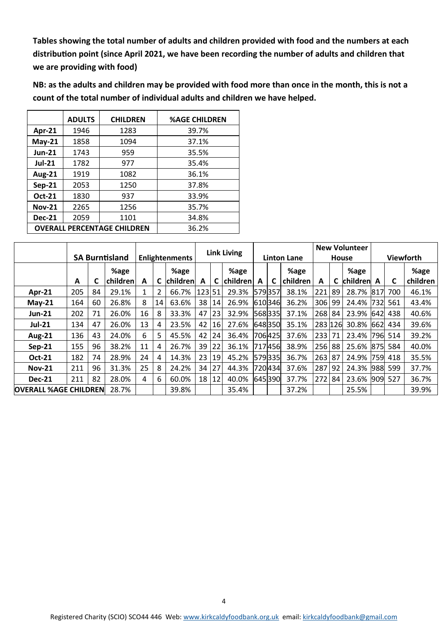**Tables showing the total number of adults and children provided with food and the numbers at each distribution point (since April 2021, we have been recording the number of adults and children that we are providing with food)**

**NB: as the adults and children may be provided with food more than once in the month, this is not a count of the total number of individual adults and children we have helped.** 

|               | <b>ADULTS</b> | <b>CHILDREN</b>                    | <b>%AGE CHILDREN</b> |
|---------------|---------------|------------------------------------|----------------------|
| Apr-21        | 1946          | 1283                               | 39.7%                |
| $May-21$      | 1858          | 1094                               | 37.1%                |
| <b>Jun-21</b> | 1743          | 959                                | 35.5%                |
| $Jul-21$      | 1782          | 977                                | 35.4%                |
| <b>Aug-21</b> | 1919          | 1082                               | 36.1%                |
| $Sep-21$      | 2053          | 1250                               | 37.8%                |
| Oct-21        | 1830          | 937                                | 33.9%                |
| <b>Nov-21</b> | 2265          | 1256                               | 35.7%                |
| <b>Dec-21</b> | 2059          | 1101                               | 34.8%                |
|               |               | <b>OVERALL PERCENTAGE CHILDREN</b> | 36.2%                |
|               |               |                                    |                      |

|                              |     |    |                       |                       |    | <b>Link Living</b> |        |    |                 | <b>New Volunteer</b> |        |          |         |                  |                 |     |         |          |
|------------------------------|-----|----|-----------------------|-----------------------|----|--------------------|--------|----|-----------------|----------------------|--------|----------|---------|------------------|-----------------|-----|---------|----------|
|                              |     |    | <b>SA Burntisland</b> | <b>Enlightenments</b> |    |                    |        |    |                 | <b>Linton Lane</b>   |        | House    |         | <b>Viewforth</b> |                 |     |         |          |
|                              |     |    | %age                  |                       |    | %age               |        |    | %age            |                      |        | %age     |         |                  | %age            |     |         | %age     |
|                              | A   | C  | children              | A                     | C  | <b>children</b>    | A      |    | <b>children</b> | A                    | C      | children | A       |                  | <b>children</b> | A   | C       | children |
| Apr-21                       | 205 | 84 | 29.1%                 |                       |    | 66.7%              | 123 51 |    | 29.3%           |                      | 579357 | 38.1%    | 221     | 89               | 28.7% 817       |     | 700     | 46.1%    |
| $May-21$                     | 164 | 60 | 26.8%                 | 8                     | 14 | 63.6%              | 38     | 14 | 26.9%           |                      | 610346 | 36.2%    | 306     | 99               | 24.4%           | 732 | 561     | 43.4%    |
| <b>Jun-21</b>                | 202 | 71 | 26.0%                 | 16                    | 8  | 33.3%              | 47     | 23 | 32.9%           |                      | 568335 | 37.1%    | 268     | 84               | 23.9%           | 642 | 438     | 40.6%    |
| <b>Jul-21</b>                | 134 | 47 | 26.0%                 | 13                    | 4  | 23.5%              | 42     | 16 | 27.6%           |                      | 648350 | 35.1%    | 283 126 |                  | 30.8%           |     | 662 434 | 39.6%    |
| <b>Aug-21</b>                | 136 | 43 | 24.0%                 | 6                     | 5  | 45.5%              | 42     | 24 | 36.4%           |                      | 706425 | 37.6%    | 233     | 71               | 23.4% 796       |     | 514     | 39.2%    |
| $Sep-21$                     | 155 | 96 | 38.2%                 | 11                    | 4  | 26.7%              | 39     | 22 | 36.1%           |                      | 717456 | 38.9%    | 256     | 88               | 25.6% 875       |     | 584     | 40.0%    |
| <b>Oct-21</b>                | 182 | 74 | 28.9%                 | 24                    | 4  | 14.3%              | 23     | 19 | 45.2%           |                      | 579335 | 36.7%    | 263     | 87               | 24.9%           | 759 | 418     | 35.5%    |
| <b>Nov-21</b>                | 211 | 96 | 31.3%                 | 25                    | 8  | 24.2%              | 34     | 27 | 44.3%           |                      | 720434 | 37.6%    | 287     | 92               | 24.3%           |     | 988 599 | 37.7%    |
| <b>Dec-21</b>                | 211 | 82 | 28.0%                 | 4                     | 6  | 60.0%              | 18     | 12 | 40.0%           |                      | 645390 | 37.7%    | 272     | 84               | 23.6%           |     | 909 527 | 36.7%    |
| <b>OVERALL %AGE CHILDREN</b> |     |    | 28.7%                 |                       |    | 39.8%              |        |    | 35.4%           |                      |        | 37.2%    |         |                  | 25.5%           |     |         | 39.9%    |